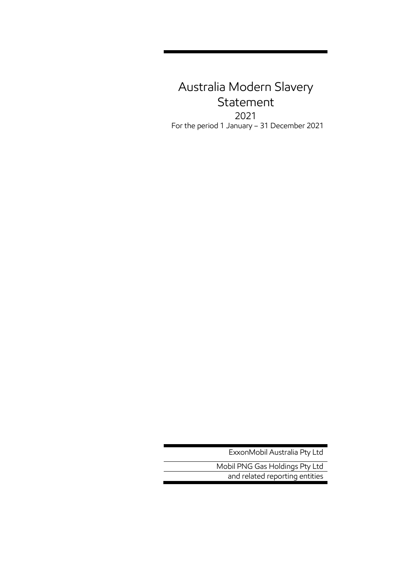# Australia Modern Slavery Statement 2021 For the period 1 January – 31 December 2021

ExxonMobil Australia Pty Ltd

Mobil PNG Gas Holdings Pty Ltd and related reporting entities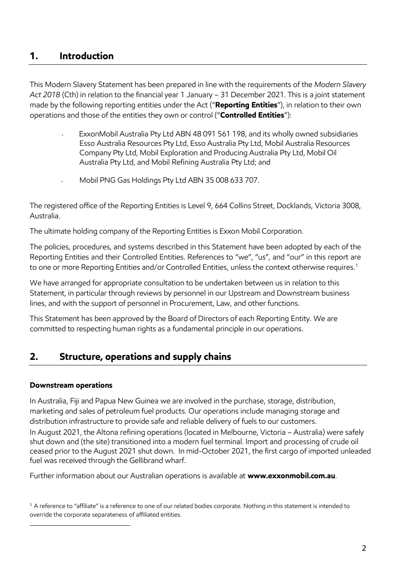## **1. Introduction**

This Modern Slavery Statement has been prepared in line with the requirements of the *Modern Slavery Act 2018* (Cth) in relation to the financial year 1 January – 31 December 2021. This is a joint statement made by the following reporting entities under the Act ("**Reporting Entities**"), in relation to their own operations and those of the entities they own or control ("**Controlled Entities**"):

- ExxonMobil Australia Pty Ltd ABN 48 091 561 198, and its wholly owned subsidiaries Esso Australia Resources Pty Ltd, Esso Australia Pty Ltd, Mobil Australia Resources Company Pty Ltd, Mobil Exploration and Producing Australia Pty Ltd, Mobil Oil Australia Pty Ltd, and Mobil Refining Australia Pty Ltd; and
- Mobil PNG Gas Holdings Pty Ltd ABN 35 008 633 707.

The registered office of the Reporting Entities is Level 9, 664 Collins Street, Docklands, Victoria 3008, Australia.

The ultimate holding company of the Reporting Entities is Exxon Mobil Corporation.

The policies, procedures, and systems described in this Statement have been adopted by each of the Reporting Entities and their Controlled Entities. References to "we", "us", and "our" in this report are to one or more Reporting Entities and/or Controlled Entities, unless the context otherwise requires. 1

We have arranged for appropriate consultation to be undertaken between us in relation to this Statement, in particular through reviews by personnel in our Upstream and Downstream business lines, and with the support of personnel in Procurement, Law, and other functions.

This Statement has been approved by the Board of Directors of each Reporting Entity. We are committed to respecting human rights as a fundamental principle in our operations.

## **2. Structure, operations and supply chains**

#### **Downstream operations**

In Australia, Fiji and Papua New Guinea we are involved in the purchase, storage, distribution, marketing and sales of petroleum fuel products. Our operations include managing storage and distribution infrastructure to provide safe and reliable delivery of fuels to our customers. In August 2021, the Altona refining operations (located in Melbourne, Victoria – Australia) were safely shut down and (the site) transitioned into a modern fuel terminal. Import and processing of crude oil ceased prior to the August 2021 shut down. In mid-October 2021, the first cargo of imported unleaded fuel was received through the Gellibrand wharf.

Further information about our Australian operations is available at **[www.exxonmobil.com.au](http://www.exxonmobil.com.au/)**.

<sup>1</sup> A reference to "affiliate" is a reference to one of our related bodies corporate. Nothing in this statement is intended to override the corporate separateness of affiliated entities.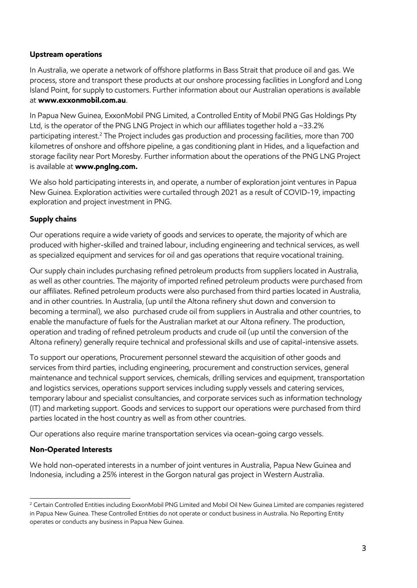#### **Upstream operations**

In Australia, we operate a network of offshore platforms in Bass Strait that produce oil and gas. We process, store and transport these products at our onshore processing facilities in Longford and Long Island Point, for supply to customers. Further information about our Australian operations is available at **[www.exxonmobil.com.au](http://www.exxonmobil.com.au/)**.

In Papua New Guinea, ExxonMobil PNG Limited, a Controlled Entity of Mobil PNG Gas Holdings Pty Ltd, is the operator of the PNG LNG Project in which our affiliates together hold a ~33.2% participating interest. <sup>2</sup> The Project includes gas production and processing facilities, more than 700 kilometres of onshore and offshore pipeline, a gas conditioning plant in Hides, and a liquefaction and storage facility near Port Moresby. Further information about the operations of the PNG LNG Project is available at **[www.pnglng.com.](http://www.pnglng.com/)**

We also hold participating interests in, and operate, a number of exploration joint ventures in Papua New Guinea. Exploration activities were curtailed through 2021 as a result of COVID-19, impacting exploration and project investment in PNG.

#### **Supply chains**

Our operations require a wide variety of goods and services to operate, the majority of which are produced with higher-skilled and trained labour, including engineering and technical services, as well as specialized equipment and services for oil and gas operations that require vocational training.

Our supply chain includes purchasing refined petroleum products from suppliers located in Australia, as well as other countries. The majority of imported refined petroleum products were purchased from our affiliates. Refined petroleum products were also purchased from third parties located in Australia, and in other countries. In Australia, (up until the Altona refinery shut down and conversion to becoming a terminal), we also purchased crude oil from suppliers in Australia and other countries, to enable the manufacture of fuels for the Australian market at our Altona refinery. The production, operation and trading of refined petroleum products and crude oil (up until the conversion of the Altona refinery) generally require technical and professional skills and use of capital-intensive assets.

To support our operations, Procurement personnel steward the acquisition of other goods and services from third parties, including engineering, procurement and construction services, general maintenance and technical support services, chemicals, drilling services and equipment, transportation and logistics services, operations support services including supply vessels and catering services, temporary labour and specialist consultancies, and corporate services such as information technology (IT) and marketing support. Goods and services to support our operations were purchased from third parties located in the host country as well as from other countries.

Our operations also require marine transportation services via ocean-going cargo vessels.

#### **Non-Operated Interests**

We hold non-operated interests in a number of joint ventures in Australia, Papua New Guinea and Indonesia, including a 25% interest in the Gorgon natural gas project in Western Australia.

<sup>&</sup>lt;sup>2</sup> Certain Controlled Entities including ExxonMobil PNG Limited and Mobil Oil New Guinea Limited are companies registered in Papua New Guinea. These Controlled Entities do not operate or conduct business in Australia. No Reporting Entity operates or conducts any business in Papua New Guinea.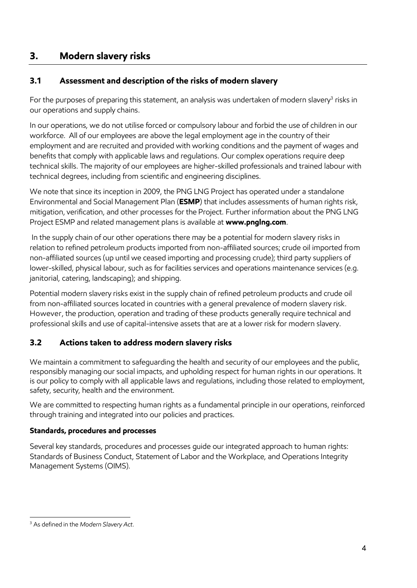## **3. Modern slavery risks**

## **3.1 Assessment and description of the risks of modern slavery**

For the purposes of preparing this statement, an analysis was undertaken of modern slavery $^{\rm 3}$  risks in  $\,$ our operations and supply chains.

In our operations, we do not utilise forced or compulsory labour and forbid the use of children in our workforce. All of our employees are above the legal employment age in the country of their employment and are recruited and provided with working conditions and the payment of wages and benefits that comply with applicable laws and regulations. Our complex operations require deep technical skills. The majority of our employees are higher-skilled professionals and trained labour with technical degrees, including from scientific and engineering disciplines.

We note that since its inception in 2009, the PNG LNG Project has operated under a standalone Environmental and Social Management Plan (**ESMP**) that includes assessments of human rights risk, mitigation, verification, and other processes for the Project. Further information about the PNG LNG Project ESMP and related management plans is available at **[www.pnglng.com](http://www.pnglng.com/)**.

In the supply chain of our other operations there may be a potential for modern slavery risks in relation to refined petroleum products imported from non-affiliated sources; crude oil imported from non-affiliated sources (up until we ceased importing and processing crude); third party suppliers of lower-skilled, physical labour, such as for facilities services and operations maintenance services (e.g. janitorial, catering, landscaping); and shipping.

Potential modern slavery risks exist in the supply chain of refined petroleum products and crude oil from non-affiliated sources located in countries with a general prevalence of modern slavery risk. However, the production, operation and trading of these products generally require technical and professional skills and use of capital-intensive assets that are at a lower risk for modern slavery.

## **3.2 Actions taken to address modern slavery risks**

We maintain a commitment to safeguarding the health and security of our employees and the public, responsibly managing our social impacts, and upholding respect for human rights in our operations. It is our policy to comply with all applicable laws and regulations, including those related to employment, safety, security, health and the environment.

We are committed to respecting human rights as a fundamental principle in our operations, reinforced through training and integrated into our policies and practices.

#### **Standards, procedures and processes**

Several key standards, procedures and processes guide our integrated approach to human rights: Standards of Business Conduct, Statement of Labor and the Workplace, and Operations Integrity Management Systems (OIMS).

<sup>3</sup> As defined in the *Modern Slavery Act*.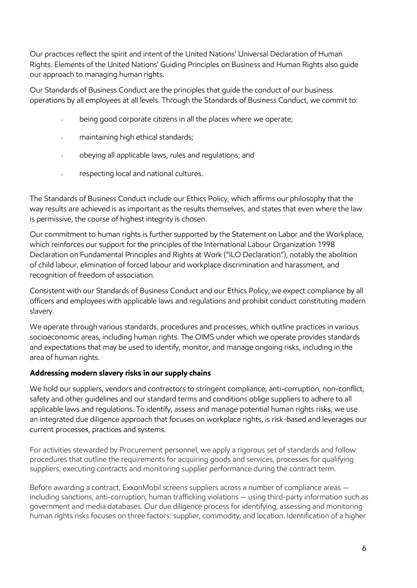Our practices reflect the spirit and intent of the United Nations' Universal Declaration of Human Rights. Elements of the United Nations' Guiding Principles on Business and Human Rights also guide our approach to managing human rights.

Our Standards of Business Conduct are the principles that guide the conduct of our business operations by all employees at all levels. Through the Standards of Business Conduct, we commit to:

- being good corporate citizens in all the places where we operate;
- maintaining high ethical standards;  $\mathbf{v}^{\pm}$
- $\mathbf{v}^{\dagger}$ obeying all applicable laws, rules and regulations; and
- respecting local and national cultures.  $\mathcal{L}^{\pm}$

The Standards of Business Conduct include our Ethics Policy, which affirms our philosophy that the way results are achieved is as important as the results themselves, and states that even where the law is permissive, the course of highest integrity is chosen.

Our commitment to human rights is further supported by the Statement on Labor and the Workplace, which reinforces our support for the principles of the International Labour Organization 1998 Declaration on Fundamental Principles and Rights at Work ("ILO Declaration"), notably the abolition of child labour, elimination of forced labour and workplace discrimination and harassment, and recognition of freedom of association.

Consistent with our Standards of Business Conduct and our Ethics Policy, we expect compliance by all officers and employees with applicable laws and regulations and prohibit conduct constituting modern slavery.

We operate through various standards, procedures and processes, which outline practices in various socioeconomic areas, including human rights. The OIMS under which we operate provides standards and expectations that may be used to identify, monitor, and manage ongoing risks, including in the area of human rights.

#### **Addressing modern slavery risks in our supply chains**

We hold our suppliers, vendors and contractors to stringent compliance, anti-corruption, non-conflict, safety and other guidelines and our standard terms and conditions oblige suppliers to adhere to all applicable laws and regulations. To identify, assess and manage potential human rights risks, we use an integrated due diligence approach that focuses on workplace rights, is risk-based and leverages our current processes, practices and systems.

For activities stewarded by Procurement personnel, we apply a rigorous set of standards and follow procedures that outline the requirements for acquiring goods and services, processes for qualifying suppliers, executing contracts and monitoring supplier performance during the contract term.

Before awarding a contract, ExxonMobil screens suppliers across a number of compliance areas including sanctions, anti-corruption, human trafficking violations — using third-party information such as government and media databases. Our due diligence process for identifying, assessing and monitoring human rights risks focuses on three factors: supplier, commodity, and location. Identification of a higher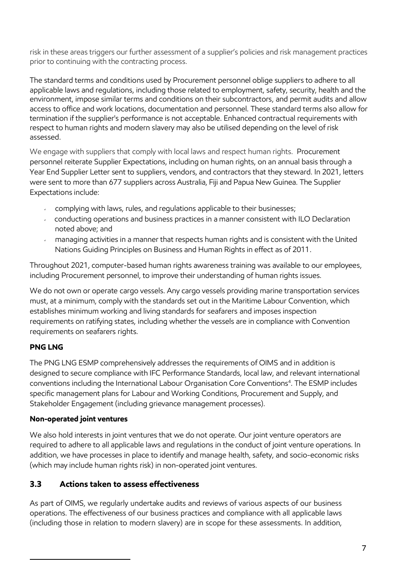risk in these areas triggers our further assessment of a supplier's policies and risk management practices prior to continuing with the contracting process.

The standard terms and conditions used by Procurement personnel oblige suppliers to adhere to all applicable laws and regulations, including those related to employment, safety, security, health and the environment, impose similar terms and conditions on their subcontractors, and permit audits and allow access to office and work locations, documentation and personnel. These standard terms also allow for termination if the supplier's performance is not acceptable. Enhanced contractual requirements with respect to human rights and modern slavery may also be utilised depending on the level of risk assessed.

We engage with suppliers that comply with local laws and respect human rights. Procurement personnel reiterate Supplier Expectations, including on human rights, on an annual basis through a Year End Supplier Letter sent to suppliers, vendors, and contractors that they steward. In 2021, letters were sent to more than 677 suppliers across Australia, Fiji and Papua New Guinea. The Supplier Expectations include:

- complying with laws, rules, and regulations applicable to their businesses;
- conducting operations and business practices in a manner consistent with ILO Declaration noted above; and
- managing activities in a manner that respects human rights and is consistent with the United  $\mathbf{v}^{(i)}$ Nations Guiding Principles on Business and Human Rights in effect as of 2011.

Throughout 2021, computer-based human rights awareness training was available to our employees, including Procurement personnel, to improve their understanding of human rights issues.

We do not own or operate cargo vessels. Any cargo vessels providing marine transportation services must, at a minimum, comply with the standards set out in the Maritime Labour Convention, which establishes minimum working and living standards for seafarers and imposes inspection requirements on ratifying states, including whether the vessels are in compliance with Convention requirements on seafarers rights.

## **PNG LNG**

The PNG LNG ESMP comprehensively addresses the requirements of OIMS and in addition is designed to secure compliance with IFC Performance Standards, local law, and relevant international conventions including the International Labour Organisation Core Conventions 4 . The ESMP includes specific management plans for Labour and Working Conditions, Procurement and Supply, and Stakeholder Engagement (including grievance management processes).

## **Non-operated joint ventures**

We also hold interests in joint ventures that we do not operate. Our joint venture operators are required to adhere to all applicable laws and regulations in the conduct of joint venture operations. In addition, we have processes in place to identify and manage health, safety, and socio-economic risks (which may include human rights risk) in non-operated joint ventures.

## **3.3 Actions taken to assess effectiveness**

As part of OIMS, we regularly undertake audits and reviews of various aspects of our business operations. The effectiveness of our business practices and compliance with all applicable laws (including those in relation to modern slavery) are in scope for these assessments. In addition,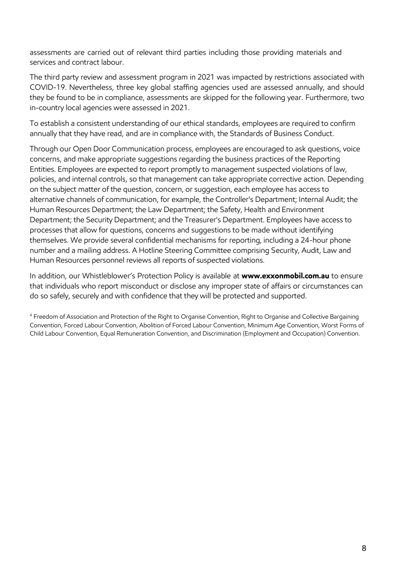assessments are carried out of relevant third parties including those providing materials and services and contract labour.

The third party review and assessment program in 2021 was impacted by restrictions associated with COVID-19. Nevertheless, three key global staffing agencies used are assessed annually, and should they be found to be in compliance, assessments are skipped for the following year. Furthermore, two in-country local agencies were assessed in 2021.

To establish a consistent understanding of our ethical standards, employees are required to confirm annually that they have read, and are in compliance with, the Standards of Business Conduct.

Through our Open Door Communication process, employees are encouraged to ask questions, voice concerns, and make appropriate suggestions regarding the business practices of the Reporting Entities. Employees are expected to report promptly to management suspected violations of law, policies, and internal controls, so that management can take appropriate corrective action. Depending on the subject matter of the question, concern, or suggestion, each employee has access to alternative channels of communication, for example, the Controller's Department; Internal Audit; the Human Resources Department; the Law Department; the Safety, Health and Environment Department; the Security Department; and the Treasurer's Department. Employees have access to processes that allow for questions, concerns and suggestions to be made without identifying themselves. We provide several confidential mechanisms for reporting, including a 24-hour phone number and a mailing address. A Hotline Steering Committee comprising Security, Audit, Law and Human Resources personnel reviews all reports of suspected violations.

In addition, our Whistleblower's Protection Policy is available at **[www.exxonmobil.com.au](http://www.exxonmobil.com.au/)** to ensure that individuals who report misconduct or disclose any improper state of affairs or circumstances can do so safely, securely and with confidence that they will be protected and supported.

<sup>4</sup> Freedom of Association and Protection of the Right to Organise Convention, Right to Organise and Collective Bargaining Convention, Forced Labour Convention, Abolition of Forced Labour Convention, Minimum Age Convention, Worst Forms of Child Labour Convention, Equal Remuneration Convention, and Discrimination (Employment and Occupation) Convention.